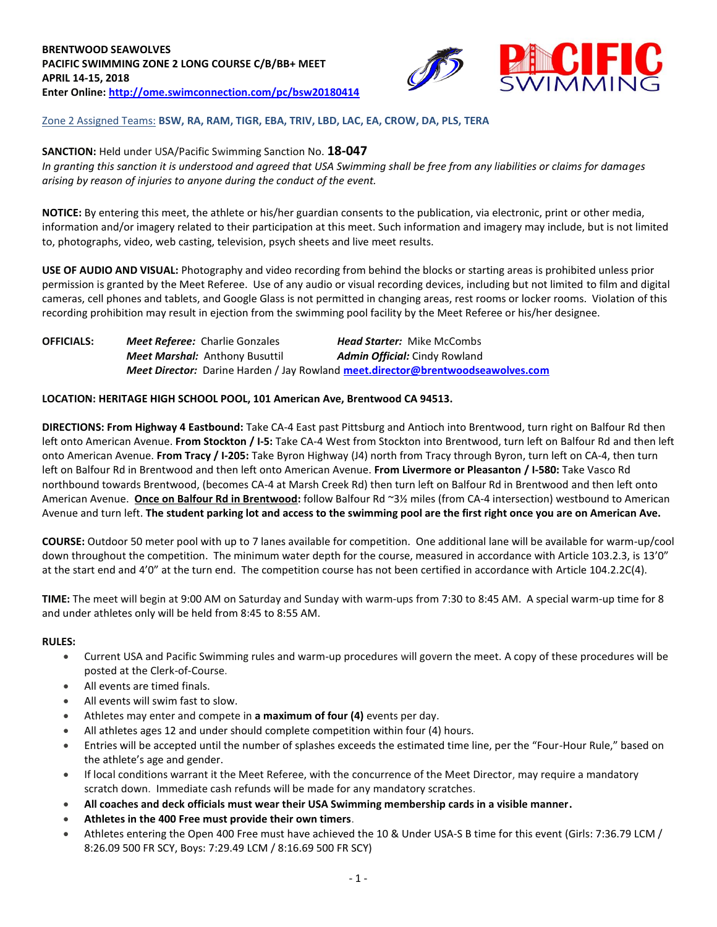

## Zone 2 Assigned Teams: **BSW, RA, RAM, TIGR, EBA, TRIV, LBD, LAC, EA, CROW, DA, PLS, TERA**

### **SANCTION:** Held under USA/Pacific Swimming Sanction No. **18-047**

*In granting this sanction it is understood and agreed that USA Swimming shall be free from any liabilities or claims for damages arising by reason of injuries to anyone during the conduct of the event.*

**NOTICE:** By entering this meet, the athlete or his/her guardian consents to the publication, via electronic, print or other media, information and/or imagery related to their participation at this meet. Such information and imagery may include, but is not limited to, photographs, video, web casting, television, psych sheets and live meet results.

**USE OF AUDIO AND VISUAL:** Photography and video recording from behind the blocks or starting areas is prohibited unless prior permission is granted by the Meet Referee. Use of any audio or visual recording devices, including but not limited to film and digital cameras, cell phones and tablets, and Google Glass is not permitted in changing areas, rest rooms or locker rooms. Violation of this recording prohibition may result in ejection from the swimming pool facility by the Meet Referee or his/her designee.

**OFFICIALS:** *Meet Referee:* Charlie Gonzales *Head Starter:* Mike McCombs *Meet Marshal:* Anthony Busuttil *Admin Official:* Cindy Rowland *Meet Director:* Darine Harden / Jay Rowland **[meet.director@brentwoodseawolves.com](mailto:meet.director@brentwoodseawolves.com)**

#### **LOCATION: HERITAGE HIGH SCHOOL POOL, 101 American Ave, Brentwood CA 94513.**

**DIRECTIONS: From Highway 4 Eastbound:** Take CA-4 East past Pittsburg and Antioch into Brentwood, turn right on Balfour Rd then left onto American Avenue. **From Stockton / I-5:** Take CA-4 West from Stockton into Brentwood, turn left on Balfour Rd and then left onto American Avenue. **From Tracy / I-205:** Take Byron Highway (J4) north from Tracy through Byron, turn left on CA-4, then turn left on Balfour Rd in Brentwood and then left onto American Avenue. **From Livermore or Pleasanton / I-580:** Take Vasco Rd northbound towards Brentwood, (becomes CA-4 at Marsh Creek Rd) then turn left on Balfour Rd in Brentwood and then left onto American Avenue. **Once on Balfour Rd in Brentwood:** follow Balfour Rd ~3½ miles (from CA-4 intersection) westbound to American Avenue and turn left. **The student parking lot and access to the swimming pool are the first right once you are on American Ave.**

**COURSE:** Outdoor 50 meter pool with up to 7 lanes available for competition. One additional lane will be available for warm-up/cool down throughout the competition. The minimum water depth for the course, measured in accordance with Article 103.2.3, is 13'0" at the start end and 4'0" at the turn end. The competition course has not been certified in accordance with Article 104.2.2C(4).

**TIME:** The meet will begin at 9:00 AM on Saturday and Sunday with warm-ups from 7:30 to 8:45 AM. A special warm-up time for 8 and under athletes only will be held from 8:45 to 8:55 AM.

#### **RULES:**

- Current USA and Pacific Swimming rules and warm-up procedures will govern the meet. A copy of these procedures will be posted at the Clerk-of-Course.
- All events are timed finals.
- All events will swim fast to slow.
- Athletes may enter and compete in **a maximum of four (4)** events per day.
- All athletes ages 12 and under should complete competition within four (4) hours.
- Entries will be accepted until the number of splashes exceeds the estimated time line, per the "Four-Hour Rule," based on the athlete's age and gender.
- If local conditions warrant it the Meet Referee, with the concurrence of the Meet Director, may require a mandatory scratch down. Immediate cash refunds will be made for any mandatory scratches.
- **All coaches and deck officials must wear their USA Swimming membership cards in a visible manner.**
- **Athletes in the 400 Free must provide their own timers**.
- Athletes entering the Open 400 Free must have achieved the 10 & Under USA-S B time for this event (Girls: 7:36.79 LCM / 8:26.09 500 FR SCY, Boys: 7:29.49 LCM / 8:16.69 500 FR SCY)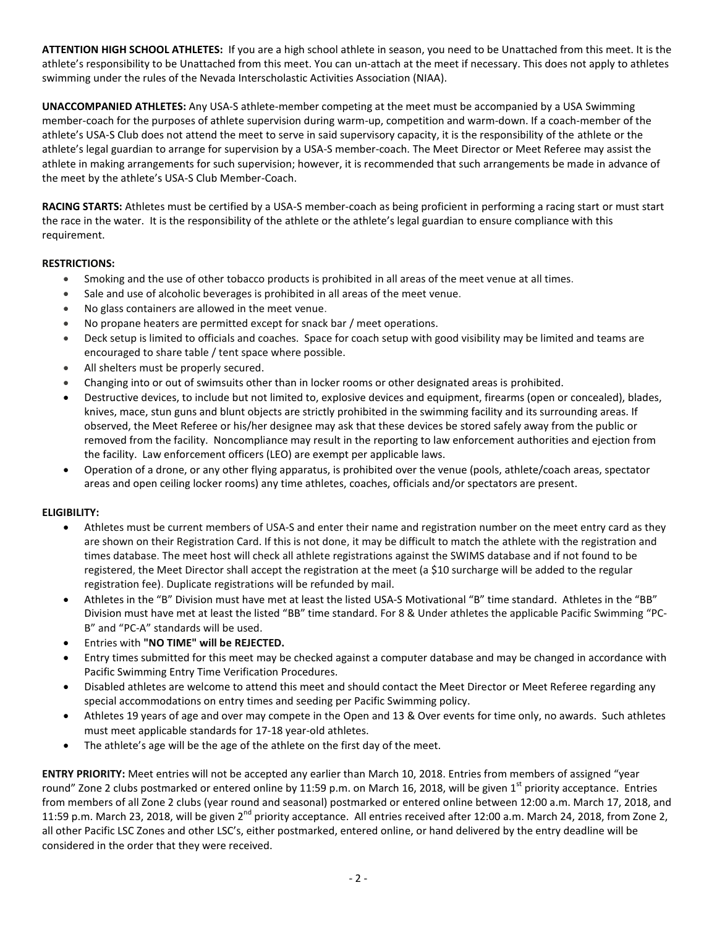**ATTENTION HIGH SCHOOL ATHLETES:** If you are a high school athlete in season, you need to be Unattached from this meet. It is the athlete's responsibility to be Unattached from this meet. You can un-attach at the meet if necessary. This does not apply to athletes swimming under the rules of the Nevada Interscholastic Activities Association (NIAA).

**UNACCOMPANIED ATHLETES:** Any USA-S athlete-member competing at the meet must be accompanied by a USA Swimming member-coach for the purposes of athlete supervision during warm-up, competition and warm-down. If a coach-member of the athlete's USA-S Club does not attend the meet to serve in said supervisory capacity, it is the responsibility of the athlete or the athlete's legal guardian to arrange for supervision by a USA-S member-coach. The Meet Director or Meet Referee may assist the athlete in making arrangements for such supervision; however, it is recommended that such arrangements be made in advance of the meet by the athlete's USA-S Club Member-Coach.

**RACING STARTS:** Athletes must be certified by a USA-S member-coach as being proficient in performing a racing start or must start the race in the water. It is the responsibility of the athlete or the athlete's legal guardian to ensure compliance with this requirement.

## **RESTRICTIONS:**

- Smoking and the use of other tobacco products is prohibited in all areas of the meet venue at all times.
- Sale and use of alcoholic beverages is prohibited in all areas of the meet venue.
- No glass containers are allowed in the meet venue.
- No propane heaters are permitted except for snack bar / meet operations.
- Deck setup is limited to officials and coaches. Space for coach setup with good visibility may be limited and teams are encouraged to share table / tent space where possible.
- All shelters must be properly secured.
- Changing into or out of swimsuits other than in locker rooms or other designated areas is prohibited.
- Destructive devices, to include but not limited to, explosive devices and equipment, firearms (open or concealed), blades, knives, mace, stun guns and blunt objects are strictly prohibited in the swimming facility and its surrounding areas. If observed, the Meet Referee or his/her designee may ask that these devices be stored safely away from the public or removed from the facility. Noncompliance may result in the reporting to law enforcement authorities and ejection from the facility. Law enforcement officers (LEO) are exempt per applicable laws.
- Operation of a drone, or any other flying apparatus, is prohibited over the venue (pools, athlete/coach areas, spectator areas and open ceiling locker rooms) any time athletes, coaches, officials and/or spectators are present.

## **ELIGIBILITY:**

- Athletes must be current members of USA-S and enter their name and registration number on the meet entry card as they are shown on their Registration Card. If this is not done, it may be difficult to match the athlete with the registration and times database. The meet host will check all athlete registrations against the SWIMS database and if not found to be registered, the Meet Director shall accept the registration at the meet (a \$10 surcharge will be added to the regular registration fee). Duplicate registrations will be refunded by mail.
- Athletes in the "B" Division must have met at least the listed USA-S Motivational "B" time standard. Athletes in the "BB" Division must have met at least the listed "BB" time standard. For 8 & Under athletes the applicable Pacific Swimming "PC-B" and "PC-A" standards will be used.
- Entries with **"NO TIME" will be REJECTED.**
- Entry times submitted for this meet may be checked against a computer database and may be changed in accordance with Pacific Swimming Entry Time Verification Procedures.
- Disabled athletes are welcome to attend this meet and should contact the Meet Director or Meet Referee regarding any special accommodations on entry times and seeding per Pacific Swimming policy.
- Athletes 19 years of age and over may compete in the Open and 13 & Over events for time only, no awards. Such athletes must meet applicable standards for 17-18 year-old athletes.
- The athlete's age will be the age of the athlete on the first day of the meet.

**ENTRY PRIORITY:** Meet entries will not be accepted any earlier than March 10, 2018. Entries from members of assigned "year round" Zone 2 clubs postmarked or entered online by 11:59 p.m. on March 16, 2018, will be given 1<sup>st</sup> priority acceptance. Entries from members of all Zone 2 clubs (year round and seasonal) postmarked or entered online between 12:00 a.m. March 17, 2018, and 11:59 p.m. March 23, 2018, will be given  $2^{nd}$  priority acceptance. All entries received after 12:00 a.m. March 24, 2018, from Zone 2, all other Pacific LSC Zones and other LSC's, either postmarked, entered online, or hand delivered by the entry deadline will be considered in the order that they were received.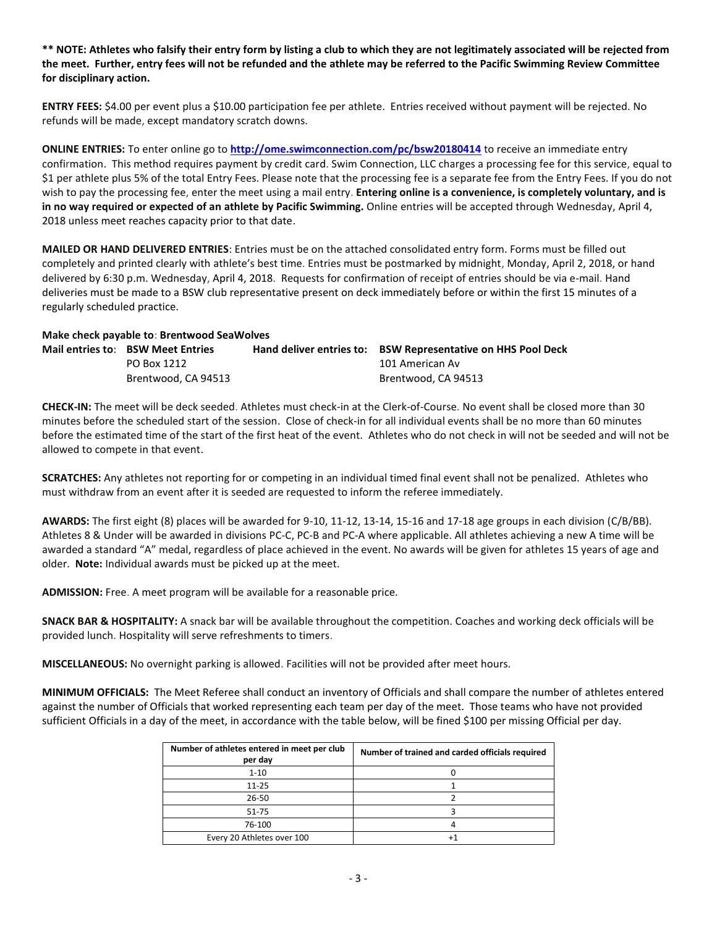**\*\* NOTE: Athletes who falsify their entry form by listing a club to which they are not legitimately associated will be rejected from the meet. Further, entry fees will not be refunded and the athlete may be referred to the Pacific Swimming Review Committee for disciplinary action.**

**ENTRY FEES:** \$4.00 per event plus a \$10.00 participation fee per athlete. Entries received without payment will be rejected. No refunds will be made, except mandatory scratch downs.

**ONLINE ENTRIES:** To enter online go to **<http://ome.swimconnection.com/pc/bsw20180414>** to receive an immediate entry confirmation. This method requires payment by credit card. Swim Connection, LLC charges a processing fee for this service, equal to \$1 per athlete plus 5% of the total Entry Fees. Please note that the processing fee is a separate fee from the Entry Fees. If you do not wish to pay the processing fee, enter the meet using a mail entry. **Entering online is a convenience, is completely voluntary, and is in no way required or expected of an athlete by Pacific Swimming.** Online entries will be accepted through Wednesday, April 4, 2018 unless meet reaches capacity prior to that date.

**MAILED OR HAND DELIVERED ENTRIES**: Entries must be on the attached consolidated entry form. Forms must be filled out completely and printed clearly with athlete's best time. Entries must be postmarked by midnight, Monday, April 2, 2018, or hand delivered by 6:30 p.m. Wednesday, April 4, 2018. Requests for confirmation of receipt of entries should be via e-mail. Hand deliveries must be made to a BSW club representative present on deck immediately before or within the first 15 minutes of a regularly scheduled practice.

# **Make check payable to**: **Brentwood SeaWolves**

| Mail entries to: BSW Meet Entries | Hand deliver entries to: BSW Representative on HHS Pool Deck |
|-----------------------------------|--------------------------------------------------------------|
| PO Box 1212                       | 101 American Av                                              |
| Brentwood. CA 94513               | Brentwood. CA 94513                                          |

**CHECK-IN:** The meet will be deck seeded. Athletes must check-in at the Clerk-of-Course. No event shall be closed more than 30 minutes before the scheduled start of the session. Close of check-in for all individual events shall be no more than 60 minutes before the estimated time of the start of the first heat of the event. Athletes who do not check in will not be seeded and will not be allowed to compete in that event.

**SCRATCHES:** Any athletes not reporting for or competing in an individual timed final event shall not be penalized. Athletes who must withdraw from an event after it is seeded are requested to inform the referee immediately.

**AWARDS:** The first eight (8) places will be awarded for 9-10, 11-12, 13-14, 15-16 and 17-18 age groups in each division (C/B/BB). Athletes 8 & Under will be awarded in divisions PC-C, PC-B and PC-A where applicable. All athletes achieving a new A time will be awarded a standard "A" medal, regardless of place achieved in the event. No awards will be given for athletes 15 years of age and older. **Note:** Individual awards must be picked up at the meet.

**ADMISSION:** Free. A meet program will be available for a reasonable price.

**SNACK BAR & HOSPITALITY:** A snack bar will be available throughout the competition. Coaches and working deck officials will be provided lunch. Hospitality will serve refreshments to timers.

**MISCELLANEOUS:** No overnight parking is allowed. Facilities will not be provided after meet hours.

**MINIMUM OFFICIALS:** The Meet Referee shall conduct an inventory of Officials and shall compare the number of athletes entered against the number of Officials that worked representing each team per day of the meet. Those teams who have not provided sufficient Officials in a day of the meet, in accordance with the table below, will be fined \$100 per missing Official per day.

| Number of athletes entered in meet per club<br>per day | Number of trained and carded officials required |
|--------------------------------------------------------|-------------------------------------------------|
| $1 - 10$                                               |                                                 |
| $11 - 25$                                              |                                                 |
| $26 - 50$                                              |                                                 |
| $51 - 75$                                              |                                                 |
| 76-100                                                 |                                                 |
| Every 20 Athletes over 100                             |                                                 |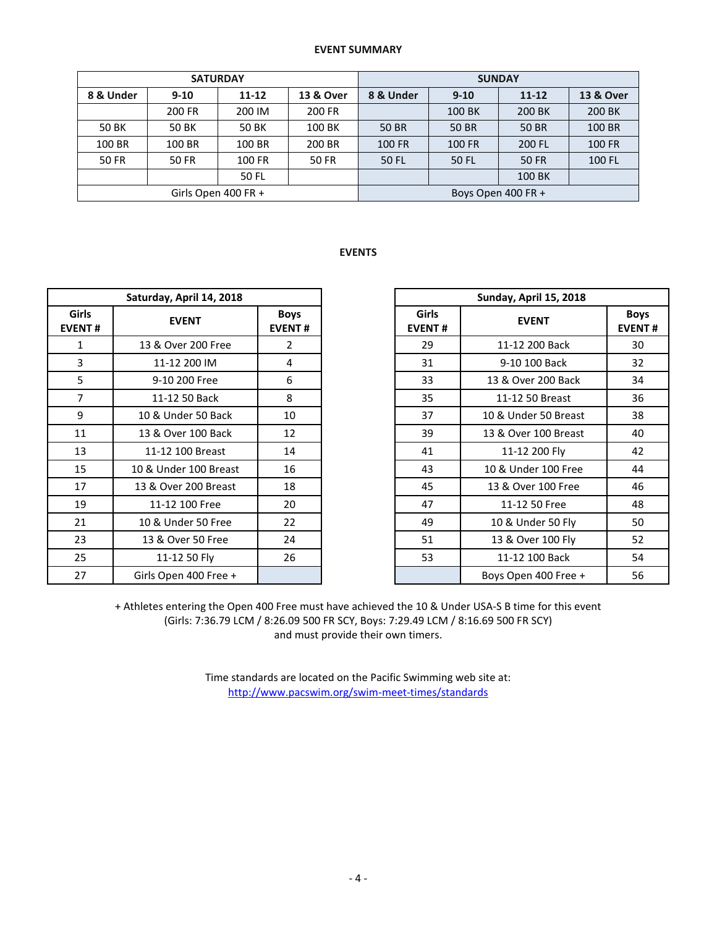#### **EVENT SUMMARY**

|              |              | <b>SATURDAY</b>        |        | <b>SUNDAY</b>      |          |           |                      |  |  |  |
|--------------|--------------|------------------------|--------|--------------------|----------|-----------|----------------------|--|--|--|
| 8 & Under    | $9-10$       | $11 - 12$<br>13 & Over |        | 8 & Under          | $9 - 10$ | $11 - 12$ | <b>13 &amp; Over</b> |  |  |  |
|              | 200 FR       | 200 IM                 | 200 FR |                    | 100 BK   | 200 BK    | 200 BK               |  |  |  |
| 50 BK        | 50 BK        | 50 BK                  | 100 BK | 50 BR              | 50 BR    | 50 BR     | 100 BR               |  |  |  |
| 100 BR       | 100 BR       | 100 BR                 | 200 BR | <b>100 FR</b>      | 100 FR   | 200 FL    | <b>100 FR</b>        |  |  |  |
| <b>50 FR</b> | <b>50 FR</b> | 100 FR                 | 50 FR  | 50 FL              | 50 FL    | 50 FR     | 100 FL               |  |  |  |
|              | 50 FL        |                        |        |                    | 100 BK   |           |                      |  |  |  |
|              |              | Girls Open 400 FR +    |        | Boys Open 400 FR + |          |           |                      |  |  |  |

## **EVENTS**

|                               | Saturday, April 14, 2018 |                              |                               | Sunday, April 15, 2018 |                    |  |  |  |  |
|-------------------------------|--------------------------|------------------------------|-------------------------------|------------------------|--------------------|--|--|--|--|
| <b>Girls</b><br><b>EVENT#</b> | <b>EVENT</b>             | <b>Boys</b><br><b>EVENT#</b> | <b>Girls</b><br><b>EVENT#</b> | <b>EVENT</b>           | Boy<br><b>EVEN</b> |  |  |  |  |
| $\mathbf{1}$                  | 13 & Over 200 Free       | 2                            | 29                            | 11-12 200 Back         | 30                 |  |  |  |  |
| 3                             | 11-12 200 IM             | 4                            | 31                            | 9-10 100 Back          | 32                 |  |  |  |  |
| 5                             | 9-10 200 Free            | 6                            | 33                            | 13 & Over 200 Back     | 34                 |  |  |  |  |
| 7                             | 11-12 50 Back            | 8                            | 35                            | 11-12 50 Breast        | 36                 |  |  |  |  |
| 9                             | 10 & Under 50 Back       | 10                           | 37                            | 10 & Under 50 Breast   | 38                 |  |  |  |  |
| 11                            | 13 & Over 100 Back       | 12                           | 39                            | 13 & Over 100 Breast   | 40                 |  |  |  |  |
| 13                            | 11-12 100 Breast         | 14                           | 41                            | 11-12 200 Fly          | 42                 |  |  |  |  |
| 15                            | 10 & Under 100 Breast    | 16                           | 43                            | 10 & Under 100 Free    | 44                 |  |  |  |  |
| 17                            | 13 & Over 200 Breast     | 18                           | 45                            | 13 & Over 100 Free     | 46                 |  |  |  |  |
| 19                            | 11-12 100 Free           | 20                           | 47                            | 11-12 50 Free          | 48                 |  |  |  |  |
| 21                            | 10 & Under 50 Free       | 22                           | 49                            | 10 & Under 50 Fly      | 50                 |  |  |  |  |
| 23                            | 13 & Over 50 Free        | 24                           | 51                            | 13 & Over 100 Fly      | 52                 |  |  |  |  |
| 25                            | 11-12 50 Fly             | 26                           | 53                            | 11-12 100 Back         | 54                 |  |  |  |  |
| 27                            | Girls Open 400 Free +    |                              |                               | Boys Open 400 Free +   | 56                 |  |  |  |  |

|                | Saturday, April 14, 2018 |                              |                               | Sunday, April 15, 2018 |                              |  |  |  |
|----------------|--------------------------|------------------------------|-------------------------------|------------------------|------------------------------|--|--|--|
| irls<br>NT#    | <b>EVENT</b>             | <b>Boys</b><br><b>EVENT#</b> | <b>Girls</b><br><b>EVENT#</b> | <b>EVENT</b>           | <b>Boys</b><br><b>EVENT#</b> |  |  |  |
| 1              | 13 & Over 200 Free       | 2                            | 29                            | 11-12 200 Back         | 30                           |  |  |  |
| 3              | 11-12 200 IM             | 4                            | 31                            | 9-10 100 Back          | 32                           |  |  |  |
| 5              | 9-10 200 Free            | 6                            | 33                            | 13 & Over 200 Back     | 34                           |  |  |  |
| $\overline{7}$ | 11-12 50 Back            | 8                            | 35                            | 11-12 50 Breast        | 36                           |  |  |  |
| 9              | 10 & Under 50 Back       | 10                           | 37                            | 10 & Under 50 Breast   | 38                           |  |  |  |
| $\overline{1}$ | 13 & Over 100 Back       | 12                           | 39                            | 13 & Over 100 Breast   | 40                           |  |  |  |
| L3             | 11-12 100 Breast         | 14                           | 41                            | 11-12 200 Fly          | 42                           |  |  |  |
| L5             | 10 & Under 100 Breast    | 16                           | 43                            | 10 & Under 100 Free    | 44                           |  |  |  |
| L7             | 13 & Over 200 Breast     | 18                           | 45                            | 13 & Over 100 Free     | 46                           |  |  |  |
| L9             | 11-12 100 Free           | 20                           | 47                            | 11-12 50 Free          | 48                           |  |  |  |
| $^{21}$        | 10 & Under 50 Free       | 22                           | 49                            | 10 & Under 50 Fly      | 50                           |  |  |  |
| $^{23}$        | 13 & Over 50 Free        | 24                           | 51                            | 13 & Over 100 Fly      | 52                           |  |  |  |
| 25             | 11-12 50 Fly             | 26                           | 53                            | 11-12 100 Back         | 54                           |  |  |  |
| 27             | Girls Open 400 Free +    |                              |                               | Boys Open 400 Free +   | 56                           |  |  |  |

+ Athletes entering the Open 400 Free must have achieved the 10 & Under USA-S B time for this event (Girls: 7:36.79 LCM / 8:26.09 500 FR SCY, Boys: 7:29.49 LCM / 8:16.69 500 FR SCY) and must provide their own timers.

> Time standards are located on the Pacific Swimming web site at: <http://www.pacswim.org/swim-meet-times/standards>